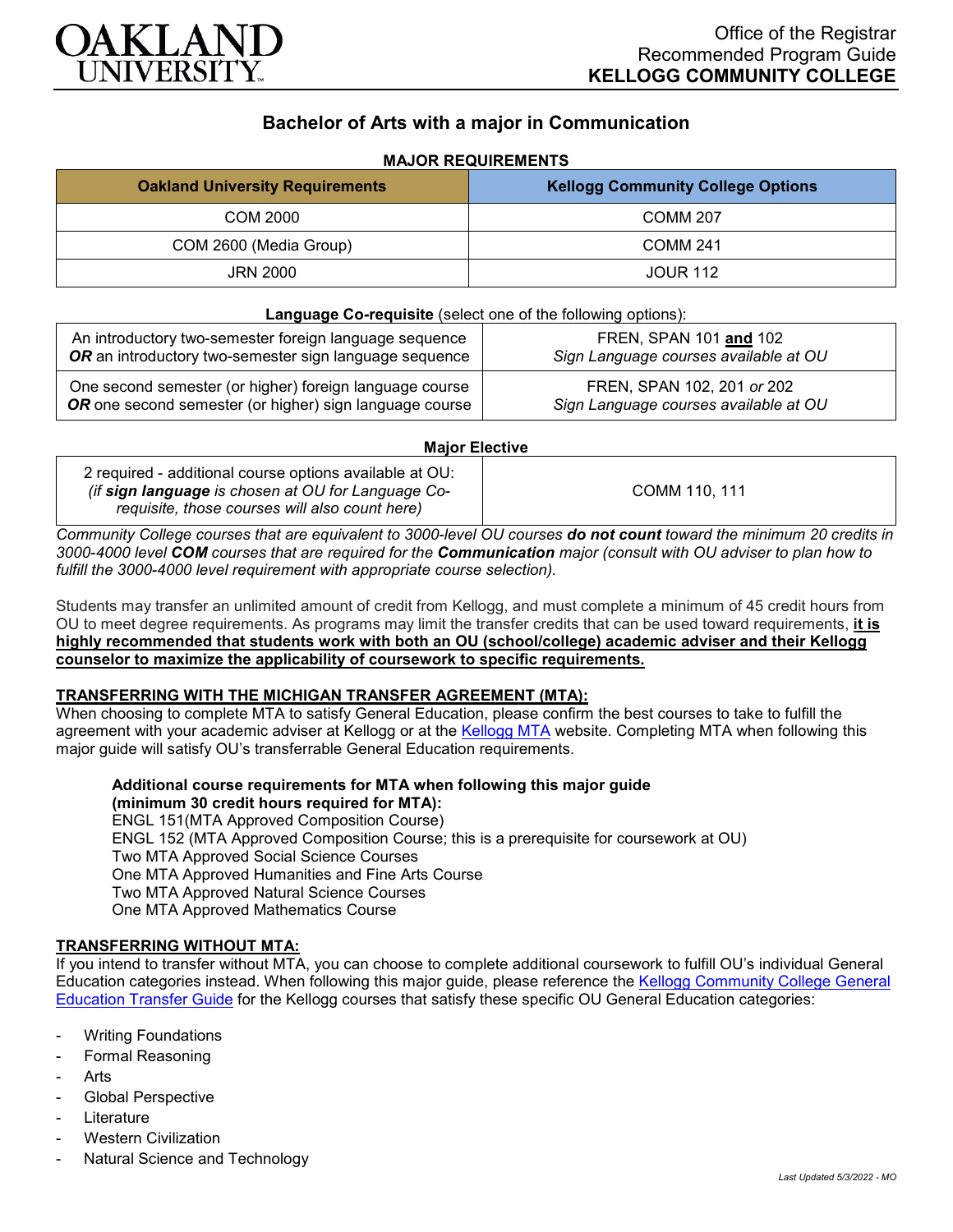

## **Bachelor of Arts with a major in Communication**

# **MAJOR REQUIREMENTS Oakland University Requirements Kellogg Community College Options** COM 2000 COMM 207 COM 2600 (Media Group) COMM 241 JRN 2000 JOUR 112

| <b>Language Co-requisite</b> (select one of the following options): |                                       |
|---------------------------------------------------------------------|---------------------------------------|
| An introductory two-semester foreign language sequence              | FREN, SPAN 101 and 102                |
| OR an introductory two-semester sign language sequence              | Sign Language courses available at OU |
| One second semester (or higher) foreign language course             | FREN, SPAN 102, 201 or 202            |
| OR one second semester (or higher) sign language course             | Sign Language courses available at OU |

#### **Major Elective**

*Community College courses that are equivalent to 3000-level OU courses do not count toward the minimum 20 credits in 3000-4000 level COM courses that are required for the Communication major (consult with OU adviser to plan how to fulfill the 3000-4000 level requirement with appropriate course selection).*

Students may transfer an unlimited amount of credit from Kellogg, and must complete a minimum of 45 credit hours from OU to meet degree requirements. As programs may limit the transfer credits that can be used toward requirements, **it is highly recommended that students work with both an OU (school/college) academic adviser and their Kellogg counselor to maximize the applicability of coursework to specific requirements.**

#### **TRANSFERRING WITH THE MICHIGAN TRANSFER AGREEMENT (MTA):**

When choosing to complete MTA to satisfy General Education, please confirm the best courses to take to fulfill the agreement with your academic adviser at Kellogg or at the [Kellogg MTA](http://catalog.kellogg.edu/content.php?catoid=16&navoid=705&hl=Michigan+Transfer+Agreement&returnto=search) website. Completing MTA when following this major guide will satisfy OU's transferrable General Education requirements.

**Additional course requirements for MTA when following this major guide (minimum 30 credit hours required for MTA):** ENGL 151(MTA Approved Composition Course) ENGL 152 (MTA Approved Composition Course; this is a prerequisite for coursework at OU) Two MTA Approved Social Science Courses One MTA Approved Humanities and Fine Arts Course Two MTA Approved Natural Science Courses One MTA Approved Mathematics Course

### **TRANSFERRING WITHOUT MTA:**

If you intend to transfer without MTA, you can choose to complete additional coursework to fulfill OU's individual General Education categories instead. When following this major guide, please reference the [Kellogg Community College General](https://www.oakland.edu/Assets/Oakland/program-guides/kellogg-community-college/university-general-education-requirements/Kellogg%20Gen%20Ed.pdf)  [Education Transfer Guide](https://www.oakland.edu/Assets/Oakland/program-guides/kellogg-community-college/university-general-education-requirements/Kellogg%20Gen%20Ed.pdf) for the Kellogg courses that satisfy these specific OU General Education categories:

- **Writing Foundations**
- Formal Reasoning
- **Arts**
- Global Perspective
- **Literature**
- **Western Civilization**
- Natural Science and Technology